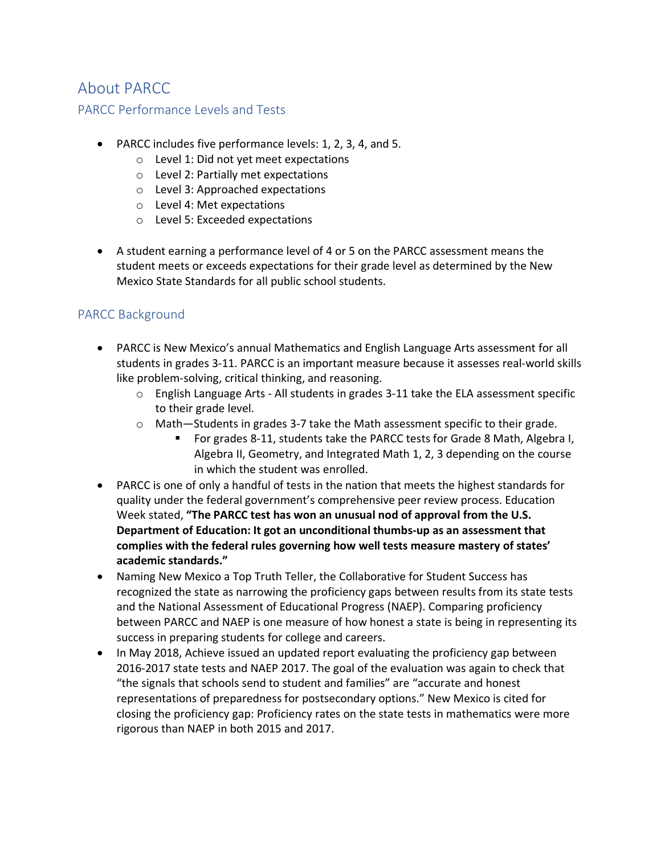#### About PARCC

#### PARCC Performance Levels and Tests

- PARCC includes five performance levels: 1, 2, 3, 4, and 5.
	- o Level 1: Did not yet meet expectations
	- o Level 2: Partially met expectations
	- o Level 3: Approached expectations
	- o Level 4: Met expectations
	- o Level 5: Exceeded expectations
- A student earning a performance level of 4 or 5 on the PARCC assessment means the student meets or exceeds expectations for their grade level as determined by the New Mexico State Standards for all public school students.

#### PARCC Background

- PARCC is New Mexico's annual Mathematics and English Language Arts assessment for all students in grades 3-11. PARCC is an important measure because it assesses real-world skills like problem-solving, critical thinking, and reasoning.
	- $\circ$  English Language Arts All students in grades 3-11 take the ELA assessment specific to their grade level.
	- $\circ$  Math—Students in grades 3-7 take the Math assessment specific to their grade.
		- § For grades 8-11, students take the PARCC tests for Grade 8 Math, Algebra I, Algebra II, Geometry, and Integrated Math 1, 2, 3 depending on the course in which the student was enrolled.
- PARCC is one of only a handful of tests in the nation that meets the highest standards for quality under the federal government's comprehensive peer review process. Education Week stated, **"The PARCC test has won an unusual nod of approval from the U.S. Department of Education: It got an unconditional thumbs-up as an assessment that complies with the federal rules governing how well tests measure mastery of states' academic standards."**
- Naming New Mexico a Top Truth Teller, the Collaborative for Student Success has recognized the state as narrowing the proficiency gaps between results from its state tests and the National Assessment of Educational Progress (NAEP). Comparing proficiency between PARCC and NAEP is one measure of how honest a state is being in representing its success in preparing students for college and careers.
- In May 2018, Achieve issued an updated report evaluating the proficiency gap between 2016-2017 state tests and NAEP 2017. The goal of the evaluation was again to check that "the signals that schools send to student and families" are "accurate and honest representations of preparedness for postsecondary options." New Mexico is cited for closing the proficiency gap: Proficiency rates on the state tests in mathematics were more rigorous than NAEP in both 2015 and 2017.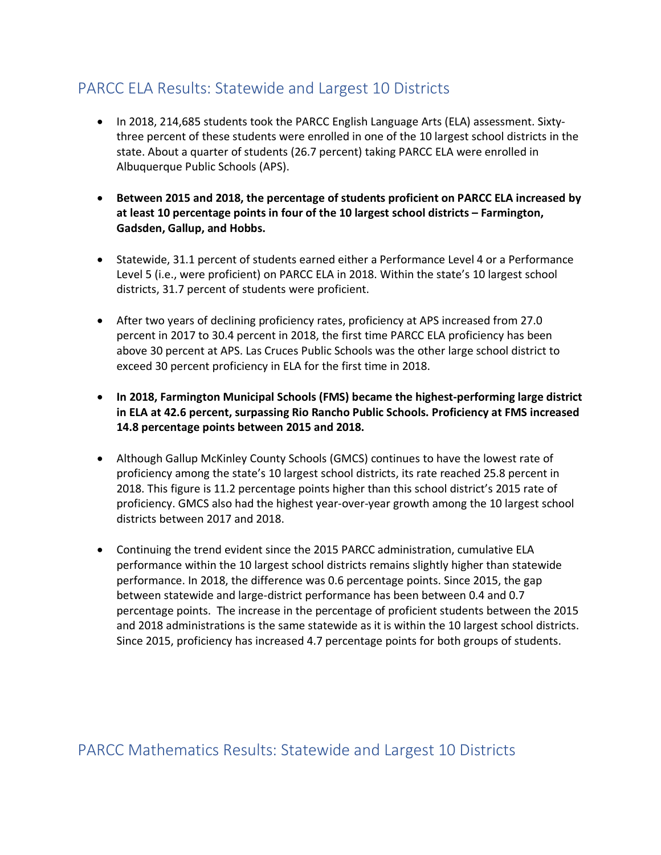### PARCC ELA Results: Statewide and Largest 10 Districts

- In 2018, 214,685 students took the PARCC English Language Arts (ELA) assessment. Sixtythree percent of these students were enrolled in one of the 10 largest school districts in the state. About a quarter of students (26.7 percent) taking PARCC ELA were enrolled in Albuquerque Public Schools (APS).
- **Between 2015 and 2018, the percentage of students proficient on PARCC ELA increased by at least 10 percentage points in four of the 10 largest school districts – Farmington, Gadsden, Gallup, and Hobbs.**
- Statewide, 31.1 percent of students earned either a Performance Level 4 or a Performance Level 5 (i.e., were proficient) on PARCC ELA in 2018. Within the state's 10 largest school districts, 31.7 percent of students were proficient.
- After two years of declining proficiency rates, proficiency at APS increased from 27.0 percent in 2017 to 30.4 percent in 2018, the first time PARCC ELA proficiency has been above 30 percent at APS. Las Cruces Public Schools was the other large school district to exceed 30 percent proficiency in ELA for the first time in 2018.
- **In 2018, Farmington Municipal Schools (FMS) became the highest-performing large district in ELA at 42.6 percent, surpassing Rio Rancho Public Schools. Proficiency at FMS increased 14.8 percentage points between 2015 and 2018.**
- Although Gallup McKinley County Schools (GMCS) continues to have the lowest rate of proficiency among the state's 10 largest school districts, its rate reached 25.8 percent in 2018. This figure is 11.2 percentage points higher than this school district's 2015 rate of proficiency. GMCS also had the highest year-over-year growth among the 10 largest school districts between 2017 and 2018.
- Continuing the trend evident since the 2015 PARCC administration, cumulative ELA performance within the 10 largest school districts remains slightly higher than statewide performance. In 2018, the difference was 0.6 percentage points. Since 2015, the gap between statewide and large-district performance has been between 0.4 and 0.7 percentage points. The increase in the percentage of proficient students between the 2015 and 2018 administrations is the same statewide as it is within the 10 largest school districts. Since 2015, proficiency has increased 4.7 percentage points for both groups of students.

PARCC Mathematics Results: Statewide and Largest 10 Districts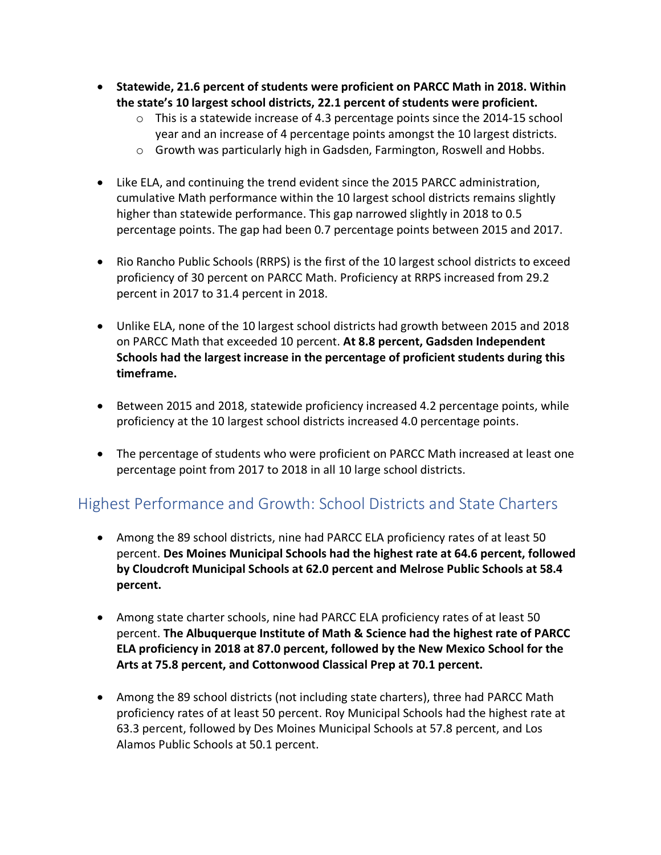- **Statewide, 21.6 percent of students were proficient on PARCC Math in 2018. Within the state's 10 largest school districts, 22.1 percent of students were proficient.**
	- o This is a statewide increase of 4.3 percentage points since the 2014-15 school year and an increase of 4 percentage points amongst the 10 largest districts.
	- $\circ$  Growth was particularly high in Gadsden, Farmington, Roswell and Hobbs.
- Like ELA, and continuing the trend evident since the 2015 PARCC administration, cumulative Math performance within the 10 largest school districts remains slightly higher than statewide performance. This gap narrowed slightly in 2018 to 0.5 percentage points. The gap had been 0.7 percentage points between 2015 and 2017.
- Rio Rancho Public Schools (RRPS) is the first of the 10 largest school districts to exceed proficiency of 30 percent on PARCC Math. Proficiency at RRPS increased from 29.2 percent in 2017 to 31.4 percent in 2018.
- Unlike ELA, none of the 10 largest school districts had growth between 2015 and 2018 on PARCC Math that exceeded 10 percent. **At 8.8 percent, Gadsden Independent Schools had the largest increase in the percentage of proficient students during this timeframe.**
- Between 2015 and 2018, statewide proficiency increased 4.2 percentage points, while proficiency at the 10 largest school districts increased 4.0 percentage points.
- The percentage of students who were proficient on PARCC Math increased at least one percentage point from 2017 to 2018 in all 10 large school districts.

### Highest Performance and Growth: School Districts and State Charters

- Among the 89 school districts, nine had PARCC ELA proficiency rates of at least 50 percent. **Des Moines Municipal Schools had the highest rate at 64.6 percent, followed by Cloudcroft Municipal Schools at 62.0 percent and Melrose Public Schools at 58.4 percent.**
- Among state charter schools, nine had PARCC ELA proficiency rates of at least 50 percent. **The Albuquerque Institute of Math & Science had the highest rate of PARCC ELA proficiency in 2018 at 87.0 percent, followed by the New Mexico School for the Arts at 75.8 percent, and Cottonwood Classical Prep at 70.1 percent.**
- Among the 89 school districts (not including state charters), three had PARCC Math proficiency rates of at least 50 percent. Roy Municipal Schools had the highest rate at 63.3 percent, followed by Des Moines Municipal Schools at 57.8 percent, and Los Alamos Public Schools at 50.1 percent.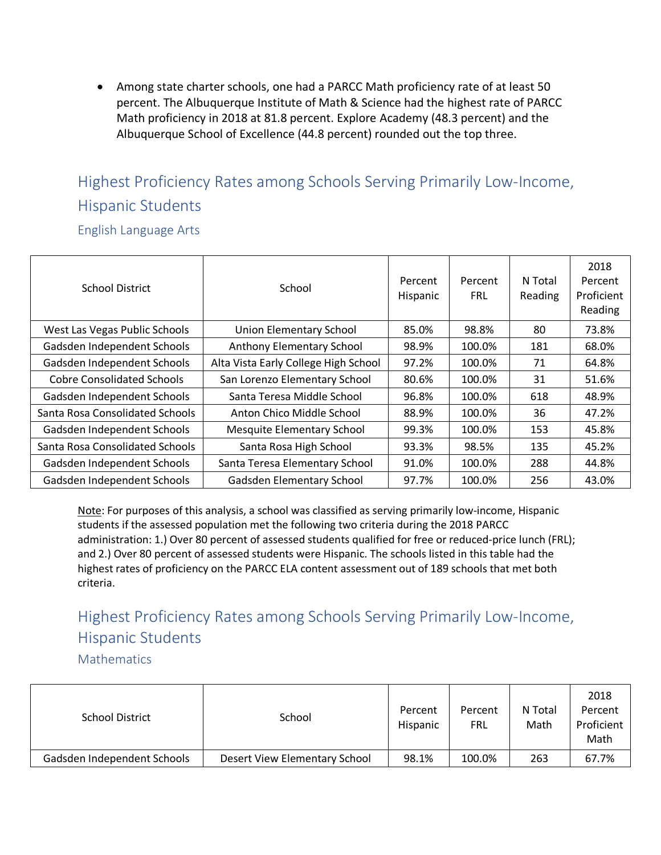• Among state charter schools, one had a PARCC Math proficiency rate of at least 50 percent. The Albuquerque Institute of Math & Science had the highest rate of PARCC Math proficiency in 2018 at 81.8 percent. Explore Academy (48.3 percent) and the Albuquerque School of Excellence (44.8 percent) rounded out the top three.

# Highest Proficiency Rates among Schools Serving Primarily Low-Income, Hispanic Students

English Language Arts

| School District                                          | School                               | Percent<br>Hispanic | Percent<br><b>FRL</b> | N Total<br>Reading | 2018<br>Percent<br>Proficient<br>Reading |
|----------------------------------------------------------|--------------------------------------|---------------------|-----------------------|--------------------|------------------------------------------|
| West Las Vegas Public Schools                            | <b>Union Elementary School</b>       | 85.0%               | 98.8%                 | 80                 | 73.8%                                    |
| Gadsden Independent Schools                              | Anthony Elementary School            | 98.9%               | 100.0%                | 181                | 68.0%                                    |
| Gadsden Independent Schools                              | Alta Vista Early College High School |                     | 100.0%                | 71                 | 64.8%                                    |
| <b>Cobre Consolidated Schools</b>                        | San Lorenzo Elementary School        | 80.6%               | 100.0%                | 31                 | 51.6%                                    |
| Gadsden Independent Schools                              | Santa Teresa Middle School           |                     | 100.0%                | 618                | 48.9%                                    |
| Santa Rosa Consolidated Schools                          | Anton Chico Middle School            |                     | 100.0%                | 36                 | 47.2%                                    |
| Gadsden Independent Schools                              | <b>Mesquite Elementary School</b>    |                     | 100.0%                | 153                | 45.8%                                    |
| Santa Rosa Consolidated Schools                          | Santa Rosa High School               |                     | 98.5%                 | 135                | 45.2%                                    |
| Gadsden Independent Schools                              | Santa Teresa Elementary School       |                     | 100.0%                | 288                | 44.8%                                    |
| Gadsden Elementary School<br>Gadsden Independent Schools |                                      | 97.7%               | 100.0%                | 256                | 43.0%                                    |

Note: For purposes of this analysis, a school was classified as serving primarily low-income, Hispanic students if the assessed population met the following two criteria during the 2018 PARCC administration: 1.) Over 80 percent of assessed students qualified for free or reduced-price lunch (FRL); and 2.) Over 80 percent of assessed students were Hispanic. The schools listed in this table had the highest rates of proficiency on the PARCC ELA content assessment out of 189 schools that met both criteria.

## Highest Proficiency Rates among Schools Serving Primarily Low-Income, Hispanic Students

**Mathematics** 

| <b>School District</b>      | School                        |       | Percent<br>FRL | N Total<br>Math | 2018<br>Percent<br>Proficient<br>Math |
|-----------------------------|-------------------------------|-------|----------------|-----------------|---------------------------------------|
| Gadsden Independent Schools | Desert View Elementary School | 98.1% | 100.0%         | 263             | 67.7%                                 |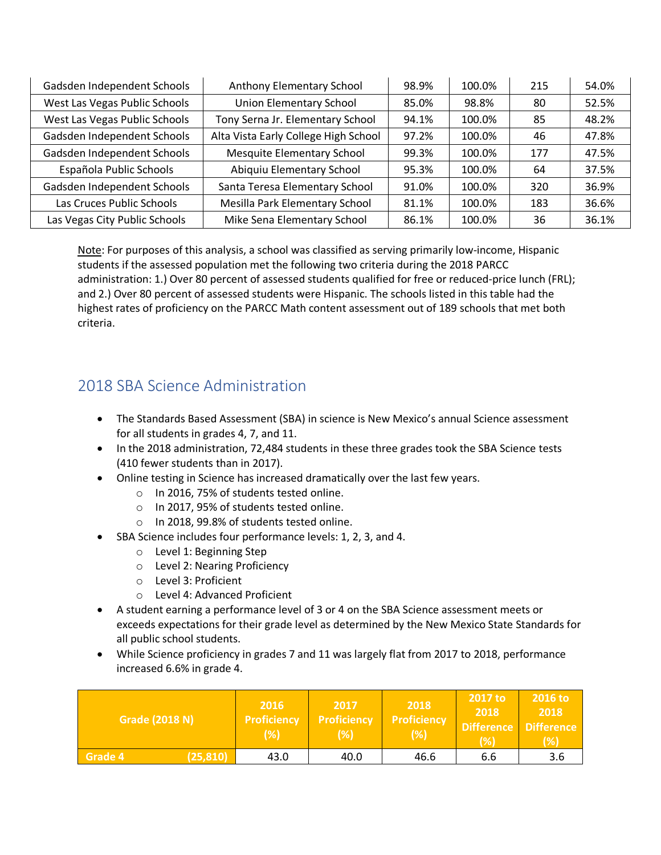| Gadsden Independent Schools   | Anthony Elementary School            | 98.9% | 100.0% | 215 | 54.0% |
|-------------------------------|--------------------------------------|-------|--------|-----|-------|
| West Las Vegas Public Schools | <b>Union Elementary School</b>       | 85.0% | 98.8%  | 80  | 52.5% |
| West Las Vegas Public Schools | Tony Serna Jr. Elementary School     | 94.1% | 100.0% | 85  | 48.2% |
| Gadsden Independent Schools   | Alta Vista Early College High School |       | 100.0% | 46  | 47.8% |
| Gadsden Independent Schools   | <b>Mesquite Elementary School</b>    |       | 100.0% | 177 | 47.5% |
| Española Public Schools       | Abiquiu Elementary School            | 95.3% | 100.0% | 64  | 37.5% |
| Gadsden Independent Schools   | Santa Teresa Elementary School       |       | 100.0% | 320 | 36.9% |
| Las Cruces Public Schools     | Mesilla Park Elementary School       |       | 100.0% | 183 | 36.6% |
| Las Vegas City Public Schools | Mike Sena Elementary School          |       | 100.0% | 36  | 36.1% |

Note: For purposes of this analysis, a school was classified as serving primarily low-income, Hispanic students if the assessed population met the following two criteria during the 2018 PARCC administration: 1.) Over 80 percent of assessed students qualified for free or reduced-price lunch (FRL); and 2.) Over 80 percent of assessed students were Hispanic. The schools listed in this table had the highest rates of proficiency on the PARCC Math content assessment out of 189 schools that met both criteria.

#### 2018 SBA Science Administration

- The Standards Based Assessment (SBA) in science is New Mexico's annual Science assessment for all students in grades 4, 7, and 11.
- In the 2018 administration, 72,484 students in these three grades took the SBA Science tests (410 fewer students than in 2017).
- Online testing in Science has increased dramatically over the last few years.
	- o In 2016, 75% of students tested online.
	- o In 2017, 95% of students tested online.
	- o In 2018, 99.8% of students tested online.
- SBA Science includes four performance levels: 1, 2, 3, and 4.
	- o Level 1: Beginning Step
	- o Level 2: Nearing Proficiency
	- o Level 3: Proficient
	- o Level 4: Advanced Proficient
- A student earning a performance level of 3 or 4 on the SBA Science assessment meets or exceeds expectations for their grade level as determined by the New Mexico State Standards for all public school students.
- While Science proficiency in grades 7 and 11 was largely flat from 2017 to 2018, performance increased 6.6% in grade 4.

| Grade (2018 N)       | 2016<br>Proficiency<br>(%) | 2017<br><b>Proficiency</b><br>(%) | 2018<br><b>Proficiency</b><br>(%) | 2017 to<br>2018<br>Difference Difference<br>(%) | 2016 to<br>2018<br>(%) |
|----------------------|----------------------------|-----------------------------------|-----------------------------------|-------------------------------------------------|------------------------|
| (25, 810)<br>Grade 4 | 43.0                       | 40.0                              | 46.6                              | 6.6                                             | 3.6                    |